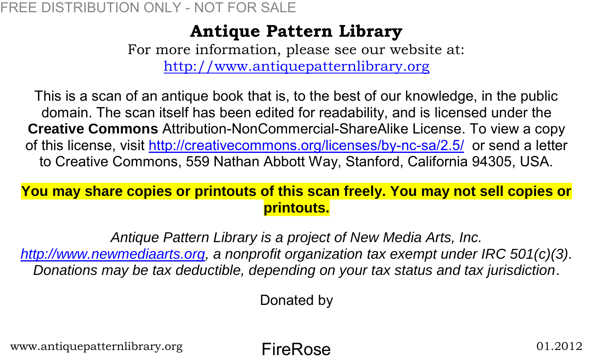## **Antique Pattern Library**

For more information, please see our website at: [http://www.antiquepatternlibrary.org](http://www.antiquepatternlibrary.org/)

This is a scan of an antique book that is, to the best of our knowledge, in the public domain. The scan itself has been edited for readability, and is licensed under the **Creative Commons** Attribution-NonCommercial-ShareAlike License. To view a copy of this license, visit<http://creativecommons.org/licenses/by-nc-sa/2.5/>or send a letter to Creative Commons, 559 Nathan Abbott Way, Stanford, California 94305, USA. FREE DISTRIBUTION ONLY - NOT FOR SALE<br> **Antique Pattern Library**<br>
For more information, please see our website at:<br>
<u>http://www.antiquepatternlibrary.org</u><br>
This is a scan of an antique book that is, to the best of our kno

## **You may share copies or printouts of this scan freely. You may not sell copies or printouts.**

*Antique Pattern Library is a project of New Media Arts, Inc. [http://www.newmediaarts.org,](http://www.newmediaarts.org/) a nonprofit organization tax exempt under IRC 501(c)(3). Donations may be tax deductible, depending on your tax status and tax jurisdiction*.

Donated by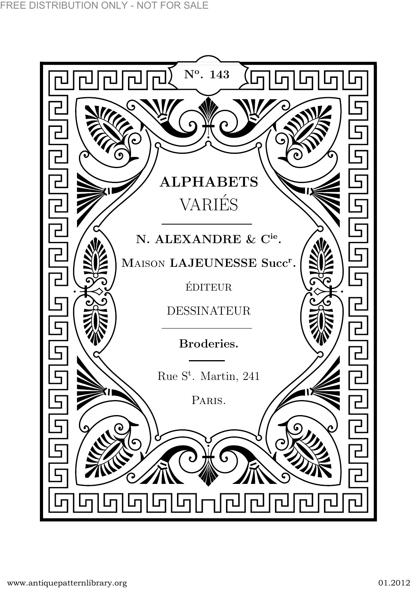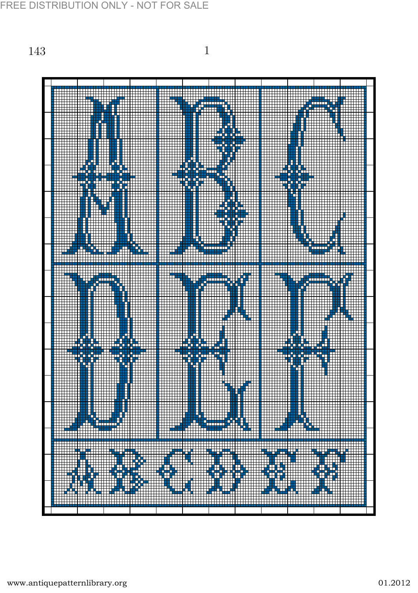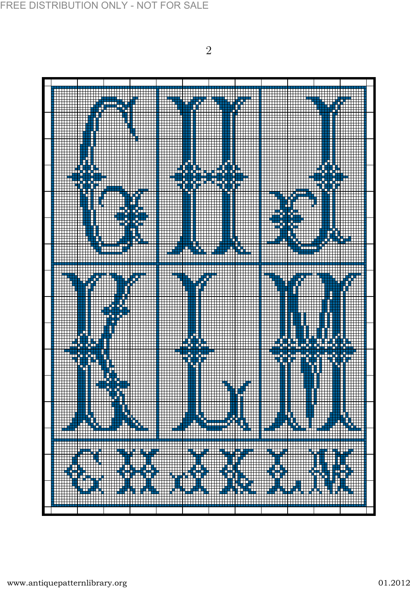

2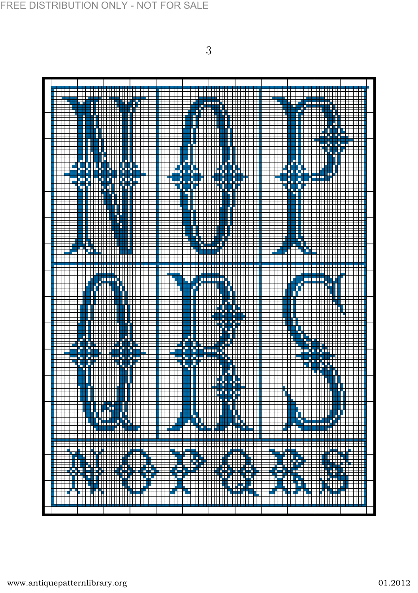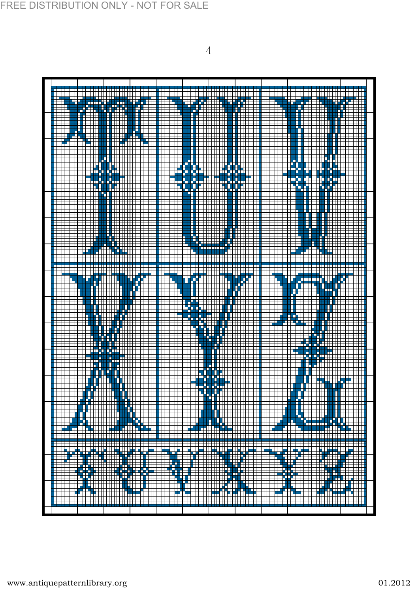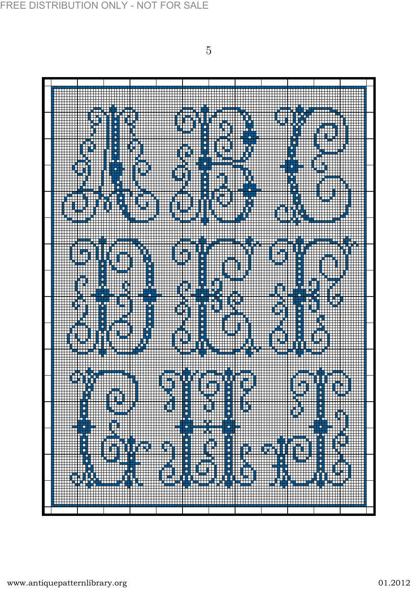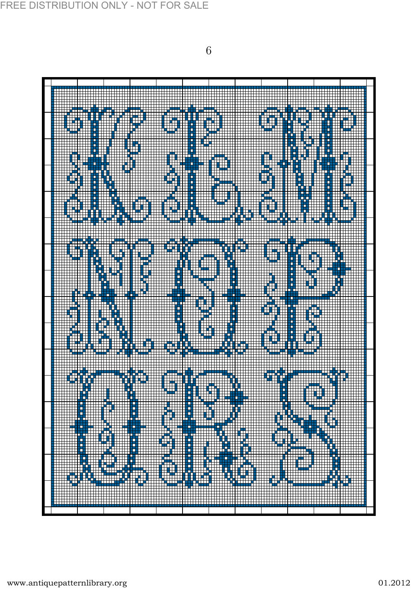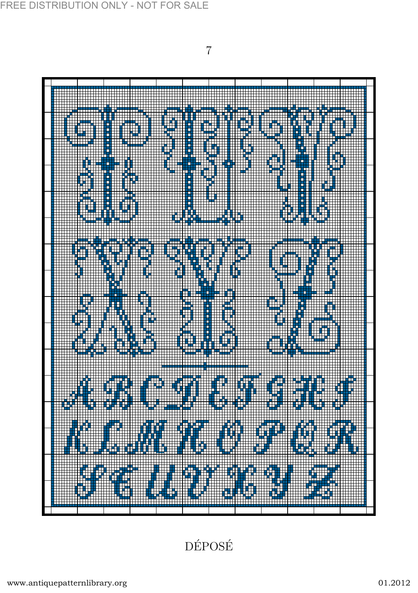

 $\overline{7}$ 

 $\mathrm{D\acute{E}POS\acute{E}}$